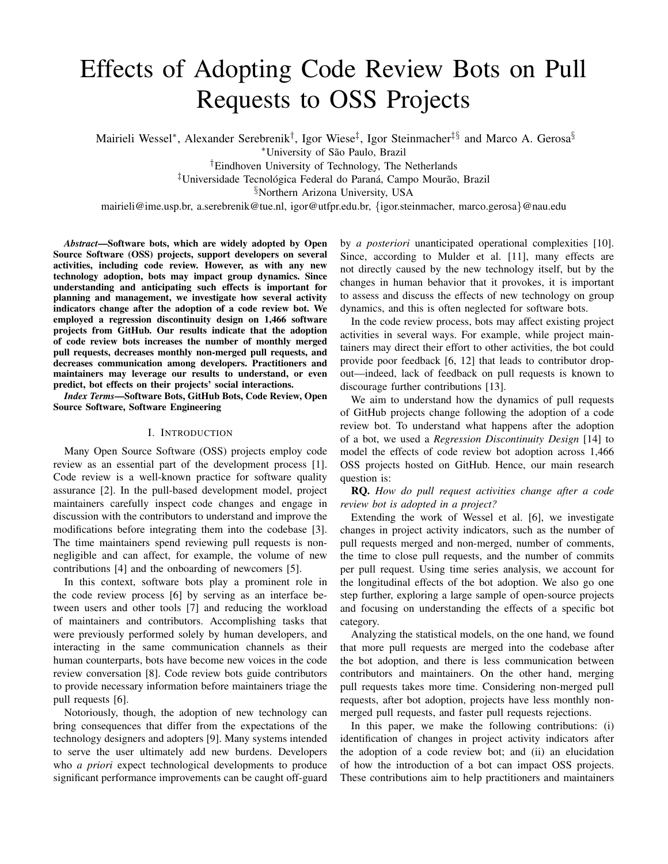# Effects of Adopting Code Review Bots on Pull Requests to OSS Projects

Mairieli Wessel\*, Alexander Serebrenik<sup>†</sup>, Igor Wiese<sup>‡</sup>, Igor Steinmacher<sup>‡§</sup> and Marco A. Gerosa<sup>§</sup>

<sup>∗</sup>University of Sao Paulo, Brazil ˜

†Eindhoven University of Technology, The Netherlands

<sup>‡</sup>Universidade Tecnológica Federal do Paraná, Campo Mourão, Brazil

§Northern Arizona University, USA

mairieli@ime.usp.br, a.serebrenik@tue.nl, igor@utfpr.edu.br, {igor.steinmacher, marco.gerosa}@nau.edu

*Abstract*—Software bots, which are widely adopted by Open Source Software (OSS) projects, support developers on several activities, including code review. However, as with any new technology adoption, bots may impact group dynamics. Since understanding and anticipating such effects is important for planning and management, we investigate how several activity indicators change after the adoption of a code review bot. We employed a regression discontinuity design on 1,466 software projects from GitHub. Our results indicate that the adoption of code review bots increases the number of monthly merged pull requests, decreases monthly non-merged pull requests, and decreases communication among developers. Practitioners and maintainers may leverage our results to understand, or even predict, bot effects on their projects' social interactions.

*Index Terms*—Software Bots, GitHub Bots, Code Review, Open Source Software, Software Engineering

# I. INTRODUCTION

Many Open Source Software (OSS) projects employ code review as an essential part of the development process [1]. Code review is a well-known practice for software quality assurance [2]. In the pull-based development model, project maintainers carefully inspect code changes and engage in discussion with the contributors to understand and improve the modifications before integrating them into the codebase [3]. The time maintainers spend reviewing pull requests is nonnegligible and can affect, for example, the volume of new contributions [4] and the onboarding of newcomers [5].

In this context, software bots play a prominent role in the code review process [6] by serving as an interface between users and other tools [7] and reducing the workload of maintainers and contributors. Accomplishing tasks that were previously performed solely by human developers, and interacting in the same communication channels as their human counterparts, bots have become new voices in the code review conversation [8]. Code review bots guide contributors to provide necessary information before maintainers triage the pull requests [6].

Notoriously, though, the adoption of new technology can bring consequences that differ from the expectations of the technology designers and adopters [9]. Many systems intended to serve the user ultimately add new burdens. Developers who *a priori* expect technological developments to produce significant performance improvements can be caught off-guard by *a posteriori* unanticipated operational complexities [10]. Since, according to Mulder et al. [11], many effects are not directly caused by the new technology itself, but by the changes in human behavior that it provokes, it is important to assess and discuss the effects of new technology on group dynamics, and this is often neglected for software bots.

In the code review process, bots may affect existing project activities in several ways. For example, while project maintainers may direct their effort to other activities, the bot could provide poor feedback [6, 12] that leads to contributor dropout—indeed, lack of feedback on pull requests is known to discourage further contributions [13].

We aim to understand how the dynamics of pull requests of GitHub projects change following the adoption of a code review bot. To understand what happens after the adoption of a bot, we used a *Regression Discontinuity Design* [14] to model the effects of code review bot adoption across 1,466 OSS projects hosted on GitHub. Hence, our main research question is:

RQ. *How do pull request activities change after a code review bot is adopted in a project?*

Extending the work of Wessel et al. [6], we investigate changes in project activity indicators, such as the number of pull requests merged and non-merged, number of comments, the time to close pull requests, and the number of commits per pull request. Using time series analysis, we account for the longitudinal effects of the bot adoption. We also go one step further, exploring a large sample of open-source projects and focusing on understanding the effects of a specific bot category.

Analyzing the statistical models, on the one hand, we found that more pull requests are merged into the codebase after the bot adoption, and there is less communication between contributors and maintainers. On the other hand, merging pull requests takes more time. Considering non-merged pull requests, after bot adoption, projects have less monthly nonmerged pull requests, and faster pull requests rejections.

In this paper, we make the following contributions: (i) identification of changes in project activity indicators after the adoption of a code review bot; and (ii) an elucidation of how the introduction of a bot can impact OSS projects. These contributions aim to help practitioners and maintainers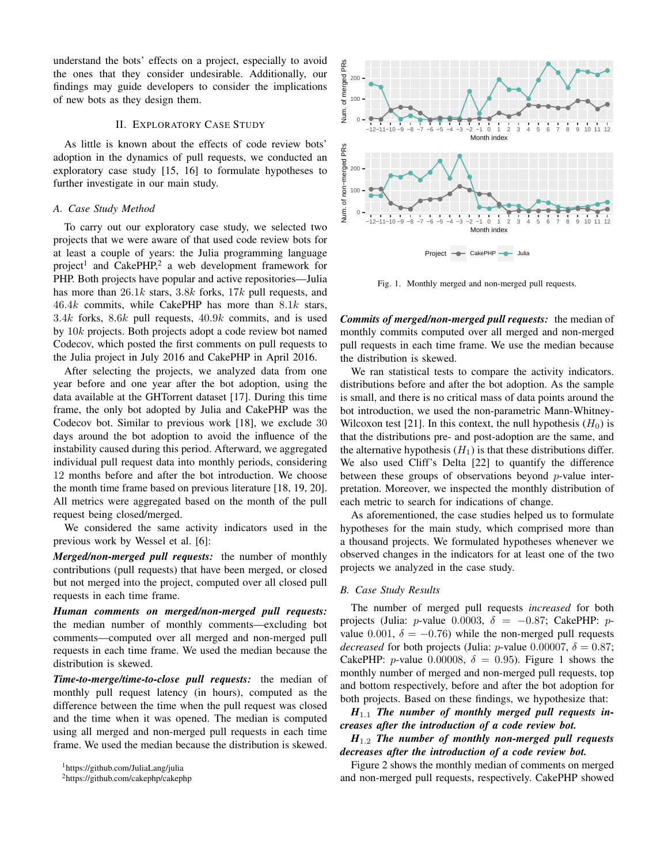understand the bots' effects on a project, especially to avoid the ones that they consider undesirable. Additionally, our findings may guide developers to consider the implications of new bots as they design them.

# II. EXPLORATORY CASE STUDY

As little is known about the effects of code review bots' adoption in the dynamics of pull requests, we conducted an exploratory case study [15, 16] to formulate hypotheses to further investigate in our main study.

# *A. Case Study Method*

To carry out our exploratory case study, we selected two projects that we were aware of that used code review bots for at least a couple of years: the Julia programming language project<sup>1</sup> and CakePHP,<sup>2</sup> a web development framework for PHP. Both projects have popular and active repositories—Julia has more than  $26.1k$  stars,  $3.8k$  forks,  $17k$  pull requests, and  $46.4k$  commits, while CakePHP has more than  $8.1k$  stars, 3.4k forks, 8.6k pull requests, 40.9k commits, and is used by 10k projects. Both projects adopt a code review bot named Codecov, which posted the first comments on pull requests to the Julia project in July 2016 and CakePHP in April 2016.

After selecting the projects, we analyzed data from one year before and one year after the bot adoption, using the data available at the GHTorrent dataset [17]. During this time frame, the only bot adopted by Julia and CakePHP was the Codecov bot. Similar to previous work [18], we exclude 30 days around the bot adoption to avoid the influence of the instability caused during this period. Afterward, we aggregated individual pull request data into monthly periods, considering 12 months before and after the bot introduction. We choose the month time frame based on previous literature [18, 19, 20]. All metrics were aggregated based on the month of the pull request being closed/merged.

We considered the same activity indicators used in the previous work by Wessel et al. [6]:

*Merged/non-merged pull requests:* the number of monthly contributions (pull requests) that have been merged, or closed but not merged into the project, computed over all closed pull requests in each time frame.

*Human comments on merged/non-merged pull requests:* the median number of monthly comments—excluding bot comments—computed over all merged and non-merged pull requests in each time frame. We used the median because the distribution is skewed.

*Time-to-merge/time-to-close pull requests:* the median of monthly pull request latency (in hours), computed as the difference between the time when the pull request was closed and the time when it was opened. The median is computed using all merged and non-merged pull requests in each time frame. We used the median because the distribution is skewed.



Fig. 1. Monthly merged and non-merged pull requests.

*Commits of merged/non-merged pull requests:* the median of monthly commits computed over all merged and non-merged pull requests in each time frame. We use the median because the distribution is skewed.

We ran statistical tests to compare the activity indicators. distributions before and after the bot adoption. As the sample is small, and there is no critical mass of data points around the bot introduction, we used the non-parametric Mann-Whitney-Wilcoxon test [21]. In this context, the null hypothesis  $(H_0)$  is that the distributions pre- and post-adoption are the same, and the alternative hypothesis  $(H_1)$  is that these distributions differ. We also used Cliff's Delta [22] to quantify the difference between these groups of observations beyond  $p$ -value interpretation. Moreover, we inspected the monthly distribution of each metric to search for indications of change.

As aforementioned, the case studies helped us to formulate hypotheses for the main study, which comprised more than a thousand projects. We formulated hypotheses whenever we observed changes in the indicators for at least one of the two projects we analyzed in the case study.

# *B. Case Study Results*

The number of merged pull requests *increased* for both projects (Julia: p-value 0.0003,  $\delta = -0.87$ ; CakePHP: pvalue 0.001,  $\delta = -0.76$ ) while the non-merged pull requests *decreased* for both projects (Julia: *p*-value 0.00007,  $\delta = 0.87$ ; CakePHP: *p*-value 0.00008,  $\delta = 0.95$ . Figure 1 shows the monthly number of merged and non-merged pull requests, top and bottom respectively, before and after the bot adoption for both projects. Based on these findings, we hypothesize that:

*H*1.<sup>1</sup> *The number of monthly merged pull requests increases after the introduction of a code review bot.*

*H*1.<sup>2</sup> *The number of monthly non-merged pull requests decreases after the introduction of a code review bot.*

Figure 2 shows the monthly median of comments on merged and non-merged pull requests, respectively. CakePHP showed

<sup>1</sup>https://github.com/JuliaLang/julia

<sup>2</sup>https://github.com/cakephp/cakephp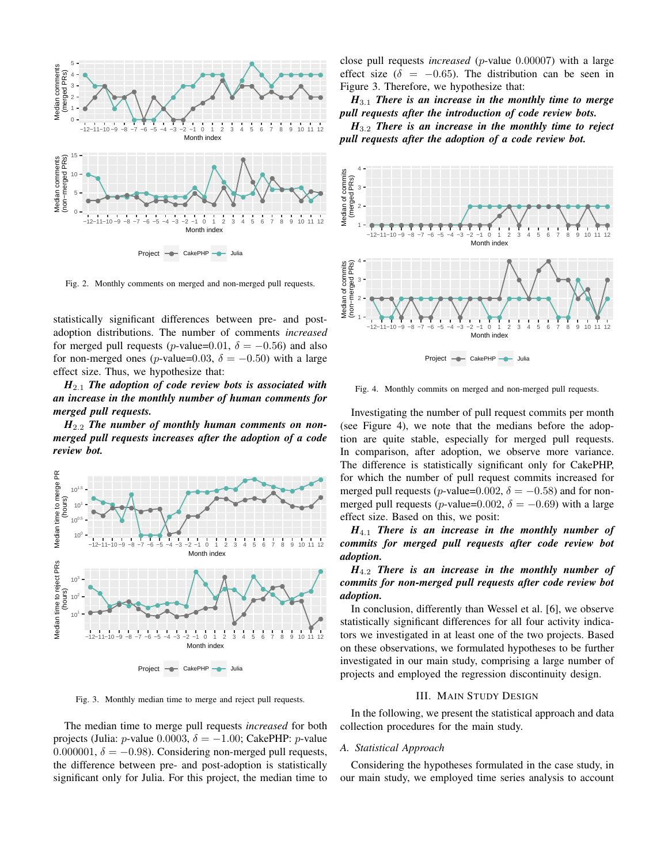

Fig. 2. Monthly comments on merged and non-merged pull requests.

statistically significant differences between pre- and postadoption distributions. The number of comments *increased* for merged pull requests (p-value=0.01,  $\delta = -0.56$ ) and also for non-merged ones (p-value=0.03,  $\delta = -0.50$ ) with a large effect size. Thus, we hypothesize that:

*H*2.<sup>1</sup> *The adoption of code review bots is associated with an increase in the monthly number of human comments for merged pull requests.*

*H*2.<sup>2</sup> *The number of monthly human comments on nonmerged pull requests increases after the adoption of a code review bot.*



Fig. 3. Monthly median time to merge and reject pull requests.

The median time to merge pull requests *increased* for both projects (Julia: *p*-value 0.0003,  $\delta = -1.00$ ; CakePHP: *p*-value 0.000001,  $\delta = -0.98$ ). Considering non-merged pull requests, the difference between pre- and post-adoption is statistically significant only for Julia. For this project, the median time to close pull requests *increased* (p-value 0.00007) with a large effect size ( $\delta = -0.65$ ). The distribution can be seen in Figure 3. Therefore, we hypothesize that:

*H*3.<sup>1</sup> *There is an increase in the monthly time to merge pull requests after the introduction of code review bots.*

*H*3.<sup>2</sup> *There is an increase in the monthly time to reject pull requests after the adoption of a code review bot.*



Fig. 4. Monthly commits on merged and non-merged pull requests.

Investigating the number of pull request commits per month (see Figure 4), we note that the medians before the adoption are quite stable, especially for merged pull requests. In comparison, after adoption, we observe more variance. The difference is statistically significant only for CakePHP, for which the number of pull request commits increased for merged pull requests (p-value=0.002,  $\delta = -0.58$ ) and for nonmerged pull requests (p-value=0.002,  $\delta = -0.69$ ) with a large effect size. Based on this, we posit:

*H*4.<sup>1</sup> *There is an increase in the monthly number of commits for merged pull requests after code review bot adoption.*

*H*4.<sup>2</sup> *There is an increase in the monthly number of commits for non-merged pull requests after code review bot adoption.*

In conclusion, differently than Wessel et al. [6], we observe statistically significant differences for all four activity indicators we investigated in at least one of the two projects. Based on these observations, we formulated hypotheses to be further investigated in our main study, comprising a large number of projects and employed the regression discontinuity design.

# III. MAIN STUDY DESIGN

In the following, we present the statistical approach and data collection procedures for the main study.

# *A. Statistical Approach*

Considering the hypotheses formulated in the case study, in our main study, we employed time series analysis to account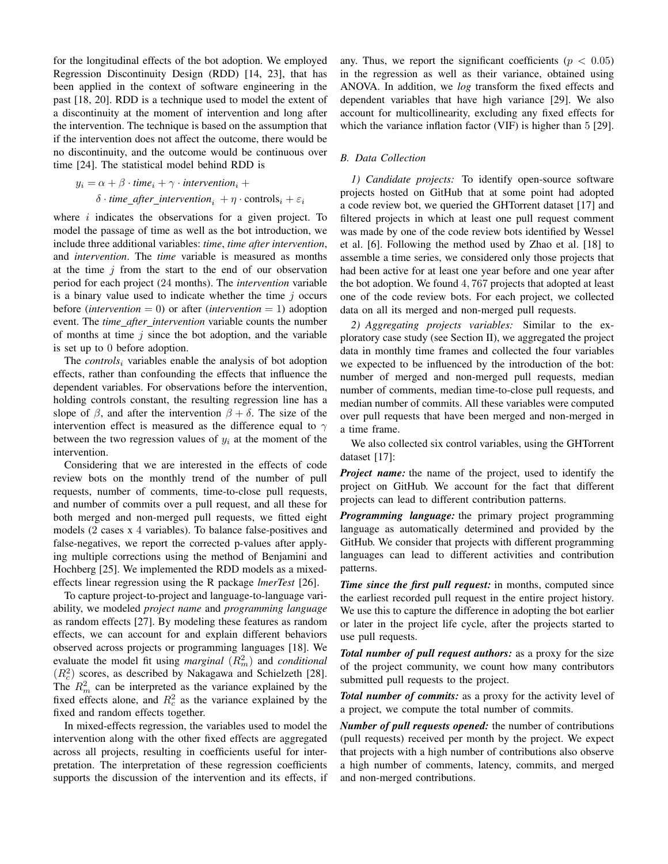for the longitudinal effects of the bot adoption. We employed Regression Discontinuity Design (RDD) [14, 23], that has been applied in the context of software engineering in the past [18, 20]. RDD is a technique used to model the extent of a discontinuity at the moment of intervention and long after the intervention. The technique is based on the assumption that if the intervention does not affect the outcome, there would be no discontinuity, and the outcome would be continuous over time [24]. The statistical model behind RDD is

$$
y_i = \alpha + \beta \cdot time_i + \gamma \cdot intervention_i +
$$
  

$$
\delta \cdot time\_after\_intervation_i + \eta \cdot controls_i + \varepsilon_i
$$

where  $i$  indicates the observations for a given project. To model the passage of time as well as the bot introduction, we include three additional variables: *time*, *time after intervention*, and *intervention*. The *time* variable is measured as months at the time  $j$  from the start to the end of our observation period for each project (24 months). The *intervention* variable is a binary value used to indicate whether the time  $i$  occurs before (*intervention*  $= 0$ ) or after (*intervention*  $= 1$ ) adoption event. The *time after intervention* variable counts the number of months at time  $j$  since the bot adoption, and the variable is set up to 0 before adoption.

The *controls* $_i$  variables enable the analysis of bot adoption effects, rather than confounding the effects that influence the dependent variables. For observations before the intervention, holding controls constant, the resulting regression line has a slope of  $\beta$ , and after the intervention  $\beta + \delta$ . The size of the intervention effect is measured as the difference equal to  $\gamma$ between the two regression values of  $y_i$  at the moment of the intervention.

Considering that we are interested in the effects of code review bots on the monthly trend of the number of pull requests, number of comments, time-to-close pull requests, and number of commits over a pull request, and all these for both merged and non-merged pull requests, we fitted eight models (2 cases x 4 variables). To balance false-positives and false-negatives, we report the corrected p-values after applying multiple corrections using the method of Benjamini and Hochberg [25]. We implemented the RDD models as a mixedeffects linear regression using the R package *lmerTest* [26].

To capture project-to-project and language-to-language variability, we modeled *project name* and *programming language* as random effects [27]. By modeling these features as random effects, we can account for and explain different behaviors observed across projects or programming languages [18]. We evaluate the model fit using *marginal*  $(R_m^2)$  and *conditional*  $(R_c^2)$  scores, as described by Nakagawa and Schielzeth [28]. The  $R_m^2$  can be interpreted as the variance explained by the fixed effects alone, and  $R_c^2$  as the variance explained by the fixed and random effects together.

In mixed-effects regression, the variables used to model the intervention along with the other fixed effects are aggregated across all projects, resulting in coefficients useful for interpretation. The interpretation of these regression coefficients supports the discussion of the intervention and its effects, if

any. Thus, we report the significant coefficients ( $p < 0.05$ ) in the regression as well as their variance, obtained using ANOVA. In addition, we *log* transform the fixed effects and dependent variables that have high variance [29]. We also account for multicollinearity, excluding any fixed effects for which the variance inflation factor (VIF) is higher than 5 [29].

# *B. Data Collection*

*1) Candidate projects:* To identify open-source software projects hosted on GitHub that at some point had adopted a code review bot, we queried the GHTorrent dataset [17] and filtered projects in which at least one pull request comment was made by one of the code review bots identified by Wessel et al. [6]. Following the method used by Zhao et al. [18] to assemble a time series, we considered only those projects that had been active for at least one year before and one year after the bot adoption. We found 4, 767 projects that adopted at least one of the code review bots. For each project, we collected data on all its merged and non-merged pull requests.

*2) Aggregating projects variables:* Similar to the exploratory case study (see Section II), we aggregated the project data in monthly time frames and collected the four variables we expected to be influenced by the introduction of the bot: number of merged and non-merged pull requests, median number of comments, median time-to-close pull requests, and median number of commits. All these variables were computed over pull requests that have been merged and non-merged in a time frame.

We also collected six control variables, using the GHTorrent dataset [17]:

*Project name:* the name of the project, used to identify the project on GitHub. We account for the fact that different projects can lead to different contribution patterns.

*Programming language:* the primary project programming language as automatically determined and provided by the GitHub. We consider that projects with different programming languages can lead to different activities and contribution patterns.

*Time since the first pull request:* in months, computed since the earliest recorded pull request in the entire project history. We use this to capture the difference in adopting the bot earlier or later in the project life cycle, after the projects started to use pull requests.

*Total number of pull request authors:* as a proxy for the size of the project community, we count how many contributors submitted pull requests to the project.

*Total number of commits:* as a proxy for the activity level of a project, we compute the total number of commits.

*Number of pull requests opened:* the number of contributions (pull requests) received per month by the project. We expect that projects with a high number of contributions also observe a high number of comments, latency, commits, and merged and non-merged contributions.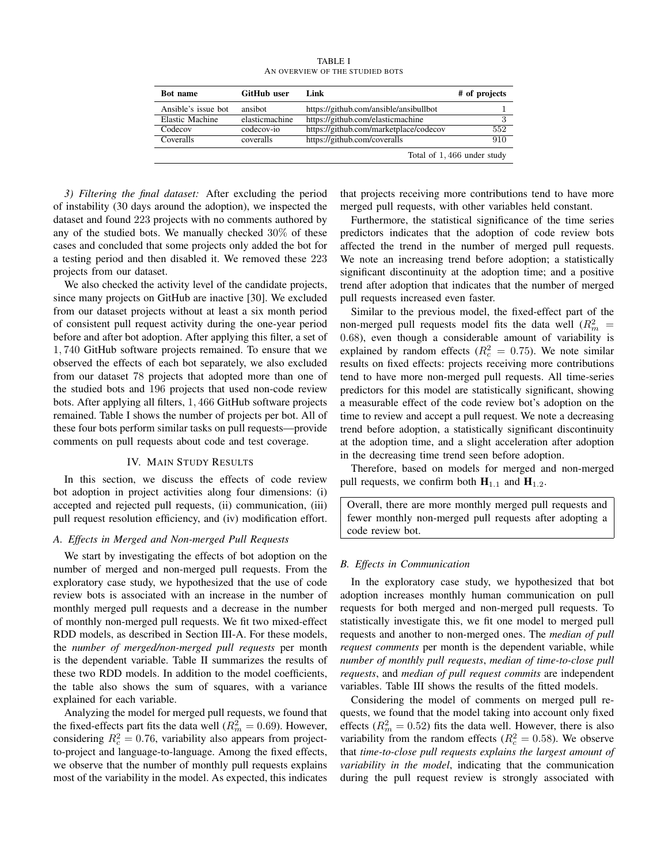TABLE I AN OVERVIEW OF THE STUDIED BOTS

| Bot name            | <b>GitHub user</b> | Link                                   | # of projects              |
|---------------------|--------------------|----------------------------------------|----------------------------|
| Ansible's issue bot | ansibot            | https://github.com/ansible/ansibullbot |                            |
| Elastic Machine     | elasticmachine     | https://github.com/elasticmachine      | 3                          |
| Codecov             | codecov-io         | https://github.com/marketplace/codecov | 552                        |
| Coveralls           | coveralls          | https://github.com/coveralls           | 910                        |
|                     |                    |                                        | Total of 1,466 under study |

*3) Filtering the final dataset:* After excluding the period of instability (30 days around the adoption), we inspected the dataset and found 223 projects with no comments authored by any of the studied bots. We manually checked 30% of these cases and concluded that some projects only added the bot for a testing period and then disabled it. We removed these 223 projects from our dataset.

We also checked the activity level of the candidate projects, since many projects on GitHub are inactive [30]. We excluded from our dataset projects without at least a six month period of consistent pull request activity during the one-year period before and after bot adoption. After applying this filter, a set of 1, 740 GitHub software projects remained. To ensure that we observed the effects of each bot separately, we also excluded from our dataset 78 projects that adopted more than one of the studied bots and 196 projects that used non-code review bots. After applying all filters, 1, 466 GitHub software projects remained. Table I shows the number of projects per bot. All of these four bots perform similar tasks on pull requests—provide comments on pull requests about code and test coverage.

# IV. MAIN STUDY RESULTS

In this section, we discuss the effects of code review bot adoption in project activities along four dimensions: (i) accepted and rejected pull requests, (ii) communication, (iii) pull request resolution efficiency, and (iv) modification effort.

# *A. Effects in Merged and Non-merged Pull Requests*

We start by investigating the effects of bot adoption on the number of merged and non-merged pull requests. From the exploratory case study, we hypothesized that the use of code review bots is associated with an increase in the number of monthly merged pull requests and a decrease in the number of monthly non-merged pull requests. We fit two mixed-effect RDD models, as described in Section III-A. For these models, the *number of merged/non-merged pull requests* per month is the dependent variable. Table II summarizes the results of these two RDD models. In addition to the model coefficients, the table also shows the sum of squares, with a variance explained for each variable.

Analyzing the model for merged pull requests, we found that the fixed-effects part fits the data well ( $R_m^2 = 0.69$ ). However, considering  $R_c^2 = 0.76$ , variability also appears from projectto-project and language-to-language. Among the fixed effects, we observe that the number of monthly pull requests explains most of the variability in the model. As expected, this indicates

that projects receiving more contributions tend to have more merged pull requests, with other variables held constant.

Furthermore, the statistical significance of the time series predictors indicates that the adoption of code review bots affected the trend in the number of merged pull requests. We note an increasing trend before adoption; a statistically significant discontinuity at the adoption time; and a positive trend after adoption that indicates that the number of merged pull requests increased even faster.

Similar to the previous model, the fixed-effect part of the non-merged pull requests model fits the data well  $(R_m^2)$ 0.68), even though a considerable amount of variability is explained by random effects ( $R_c^2 = 0.75$ ). We note similar results on fixed effects: projects receiving more contributions tend to have more non-merged pull requests. All time-series predictors for this model are statistically significant, showing a measurable effect of the code review bot's adoption on the time to review and accept a pull request. We note a decreasing trend before adoption, a statistically significant discontinuity at the adoption time, and a slight acceleration after adoption in the decreasing time trend seen before adoption.

Therefore, based on models for merged and non-merged pull requests, we confirm both  $H_{1,1}$  and  $H_{1,2}$ .

Overall, there are more monthly merged pull requests and fewer monthly non-merged pull requests after adopting a code review bot.

# *B. Effects in Communication*

In the exploratory case study, we hypothesized that bot adoption increases monthly human communication on pull requests for both merged and non-merged pull requests. To statistically investigate this, we fit one model to merged pull requests and another to non-merged ones. The *median of pull request comments* per month is the dependent variable, while *number of monthly pull requests*, *median of time-to-close pull requests*, and *median of pull request commits* are independent variables. Table III shows the results of the fitted models.

Considering the model of comments on merged pull requests, we found that the model taking into account only fixed effects ( $R_m^2 = 0.52$ ) fits the data well. However, there is also variability from the random effects ( $R_c^2 = 0.58$ ). We observe that *time-to-close pull requests explains the largest amount of variability in the model*, indicating that the communication during the pull request review is strongly associated with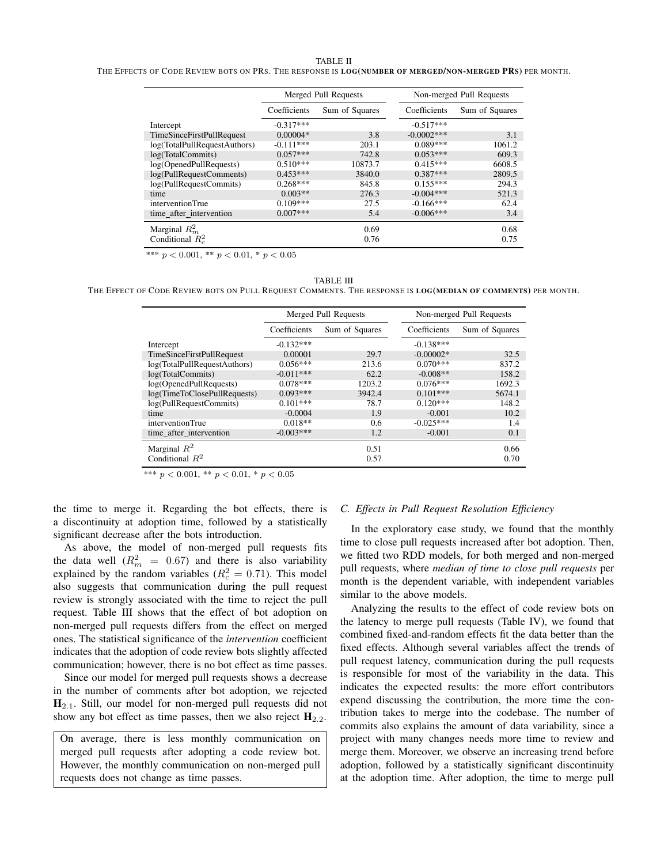#### TABLE II

THE EFFECTS OF CODE REVIEW BOTS ON PRS. THE RESPONSE IS LOG(NUMBER OF MERGED/NON-MERGED PRS) PER MONTH.

|                              | Merged Pull Requests |                |              | Non-merged Pull Requests |  |
|------------------------------|----------------------|----------------|--------------|--------------------------|--|
|                              | Coefficients         | Sum of Squares | Coefficients | Sum of Squares           |  |
| Intercept                    | $-0.317***$          |                | $-0.517***$  |                          |  |
| TimeSinceFirstPullRequest    | $0.00004*$           | 3.8            | $-0.0002***$ | 3.1                      |  |
| log(TotalPullRequestAuthors) | $-0.111***$          | 203.1          | $0.089***$   | 1061.2                   |  |
| log(TotalCommits)            | $0.057***$           | 742.8          | $0.053***$   | 609.3                    |  |
| log(OpenedPullRequests)      | $0.510***$           | 10873.7        | $0.415***$   | 6608.5                   |  |
| log(PullRequestComments)     | $0.453***$           | 3840.0         | $0.387***$   | 2809.5                   |  |
| log(PullRequestCommits)      | $0.268***$           | 845.8          | $0.155***$   | 294.3                    |  |
| time                         | $0.003**$            | 276.3          | $-0.004***$  | 521.3                    |  |
| interventionTrue             | $0.109***$           | 27.5           | $-0.166***$  | 62.4                     |  |
| time after intervention      | $0.007***$           | 5.4            | $-0.006***$  | 3.4                      |  |
| Marginal $R_m^2$             |                      | 0.69           |              | 0.68                     |  |
| Conditional $R_c^2$          |                      | 0.76           |              | 0.75                     |  |

\*\*\*  $p < 0.001$ , \*\*  $p < 0.01$ , \*  $p < 0.05$ 

TABLE III

THE EFFECT OF CODE REVIEW BOTS ON PULL REQUEST COMMENTS. THE RESPONSE IS LOG(MEDIAN OF COMMENTS) PER MONTH.

|                              | Merged Pull Requests |                | Non-merged Pull Requests |                |
|------------------------------|----------------------|----------------|--------------------------|----------------|
|                              | Coefficients         | Sum of Squares | Coefficients             | Sum of Squares |
| Intercept                    | $-0.132***$          |                | $-0.138***$              |                |
| TimeSinceFirstPullRequest    | 0.00001              | 29.7           | $-0.00002*$              | 32.5           |
| log(TotalPullRequestAuthors) | $0.056***$           | 213.6          | $0.070***$               | 837.2          |
| log(TotalCommits)            | $-0.011***$          | 62.2           | $-0.008**$               | 158.2          |
| log(OpenedPullRequests)      | $0.078***$           | 1203.2         | $0.076***$               | 1692.3         |
| log(TimeToClosePullRequests) | $0.093***$           | 3942.4         | $0.101***$               | 5674.1         |
| log(PullRequestCommits)      | $0.101***$           | 78.7           | $0.120***$               | 148.2          |
| time                         | $-0.0004$            | 1.9            | $-0.001$                 | 10.2           |
| interventionTrue             | $0.018**$            | 0.6            | $-0.025***$              | 1.4            |
| time after intervention      | $-0.003***$          | 1.2            | $-0.001$                 | 0.1            |
| Marginal $R^2$               |                      | 0.51           |                          | 0.66           |
| Conditional $R^2$            |                      | 0.57           |                          | 0.70           |

\*\*\*  $p < 0.001$ , \*\*  $p < 0.01$ , \*  $p < 0.05$ 

the time to merge it. Regarding the bot effects, there is a discontinuity at adoption time, followed by a statistically significant decrease after the bots introduction.

As above, the model of non-merged pull requests fits the data well  $(R_m^2 = 0.67)$  and there is also variability explained by the random variables ( $R_c^2 = 0.71$ ). This model also suggests that communication during the pull request review is strongly associated with the time to reject the pull request. Table III shows that the effect of bot adoption on non-merged pull requests differs from the effect on merged ones. The statistical significance of the *intervention* coefficient indicates that the adoption of code review bots slightly affected communication; however, there is no bot effect as time passes.

Since our model for merged pull requests shows a decrease in the number of comments after bot adoption, we rejected  $H_{2,1}$ . Still, our model for non-merged pull requests did not show any bot effect as time passes, then we also reject  $H_{2,2}$ .

On average, there is less monthly communication on merged pull requests after adopting a code review bot. However, the monthly communication on non-merged pull requests does not change as time passes.

## *C. Effects in Pull Request Resolution Efficiency*

In the exploratory case study, we found that the monthly time to close pull requests increased after bot adoption. Then, we fitted two RDD models, for both merged and non-merged pull requests, where *median of time to close pull requests* per month is the dependent variable, with independent variables similar to the above models.

Analyzing the results to the effect of code review bots on the latency to merge pull requests (Table IV), we found that combined fixed-and-random effects fit the data better than the fixed effects. Although several variables affect the trends of pull request latency, communication during the pull requests is responsible for most of the variability in the data. This indicates the expected results: the more effort contributors expend discussing the contribution, the more time the contribution takes to merge into the codebase. The number of commits also explains the amount of data variability, since a project with many changes needs more time to review and merge them. Moreover, we observe an increasing trend before adoption, followed by a statistically significant discontinuity at the adoption time. After adoption, the time to merge pull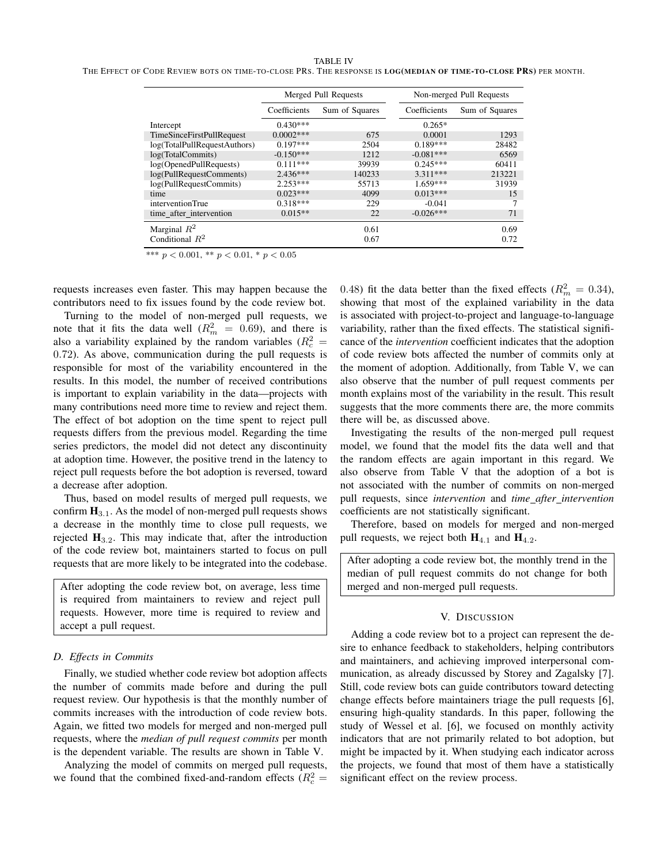#### TABLE IV

THE EFFECT OF CODE REVIEW BOTS ON TIME-TO-CLOSE PRS. THE RESPONSE IS LOG(MEDIAN OF TIME-TO-CLOSE PRS) PER MONTH.

|                              | Merged Pull Requests |                | Non-merged Pull Requests |                |
|------------------------------|----------------------|----------------|--------------------------|----------------|
|                              | Coefficients         | Sum of Squares | Coefficients             | Sum of Squares |
| Intercept                    | $0.430***$           |                | $0.265*$                 |                |
| TimeSinceFirstPullRequest    | $0.0002***$          | 675            | 0.0001                   | 1293           |
| log(TotalPullRequestAuthors) | $0.197***$           | 2504           | $0.189***$               | 28482          |
| log(TotalCommits)            | $-0.150***$          | 1212           | $-0.081***$              | 6569           |
| log(OpenedPullRequests)      | $0.111***$           | 39939          | $0.245***$               | 60411          |
| log(PullRequestComments)     | $2.436***$           | 140233         | $3.311***$               | 213221         |
| log(PullRequestCommits)      | $2.253***$           | 55713          | $1.659***$               | 31939          |
| time                         | $0.023***$           | 4099           | $0.013***$               | 15             |
| <i>interventionTrue</i>      | $0.318***$           | 229            | $-0.041$                 |                |
| time after intervention      | $0.015**$            | 22             | $-0.026***$              | 71             |
| Marginal $R^2$               |                      | 0.61           |                          | 0.69           |
| Conditional $R^2$            |                      | 0.67           |                          | 0.72           |

\*\*\*  $p < 0.001$ , \*\*  $p < 0.01$ , \*  $p < 0.05$ 

requests increases even faster. This may happen because the contributors need to fix issues found by the code review bot.

Turning to the model of non-merged pull requests, we note that it fits the data well  $(R_m^2 = 0.69)$ , and there is also a variability explained by the random variables ( $R_c^2 =$ 0.72). As above, communication during the pull requests is responsible for most of the variability encountered in the results. In this model, the number of received contributions is important to explain variability in the data—projects with many contributions need more time to review and reject them. The effect of bot adoption on the time spent to reject pull requests differs from the previous model. Regarding the time series predictors, the model did not detect any discontinuity at adoption time. However, the positive trend in the latency to reject pull requests before the bot adoption is reversed, toward a decrease after adoption.

Thus, based on model results of merged pull requests, we confirm  $H_{3,1}$ . As the model of non-merged pull requests shows a decrease in the monthly time to close pull requests, we rejected  $H_{3,2}$ . This may indicate that, after the introduction of the code review bot, maintainers started to focus on pull requests that are more likely to be integrated into the codebase.

After adopting the code review bot, on average, less time is required from maintainers to review and reject pull requests. However, more time is required to review and accept a pull request.

#### *D. Effects in Commits*

Finally, we studied whether code review bot adoption affects the number of commits made before and during the pull request review. Our hypothesis is that the monthly number of commits increases with the introduction of code review bots. Again, we fitted two models for merged and non-merged pull requests, where the *median of pull request commits* per month is the dependent variable. The results are shown in Table V.

Analyzing the model of commits on merged pull requests, we found that the combined fixed-and-random effects ( $R_c^2 =$ 

0.48) fit the data better than the fixed effects  $(R_m^2 = 0.34)$ , showing that most of the explained variability in the data is associated with project-to-project and language-to-language variability, rather than the fixed effects. The statistical significance of the *intervention* coefficient indicates that the adoption of code review bots affected the number of commits only at the moment of adoption. Additionally, from Table V, we can also observe that the number of pull request comments per month explains most of the variability in the result. This result suggests that the more comments there are, the more commits there will be, as discussed above.

Investigating the results of the non-merged pull request model, we found that the model fits the data well and that the random effects are again important in this regard. We also observe from Table V that the adoption of a bot is not associated with the number of commits on non-merged pull requests, since *intervention* and *time after intervention* coefficients are not statistically significant.

Therefore, based on models for merged and non-merged pull requests, we reject both  $H_{4,1}$  and  $H_{4,2}$ .

After adopting a code review bot, the monthly trend in the median of pull request commits do not change for both merged and non-merged pull requests.

## V. DISCUSSION

Adding a code review bot to a project can represent the desire to enhance feedback to stakeholders, helping contributors and maintainers, and achieving improved interpersonal communication, as already discussed by Storey and Zagalsky [7]. Still, code review bots can guide contributors toward detecting change effects before maintainers triage the pull requests [6], ensuring high-quality standards. In this paper, following the study of Wessel et al. [6], we focused on monthly activity indicators that are not primarily related to bot adoption, but might be impacted by it. When studying each indicator across the projects, we found that most of them have a statistically significant effect on the review process.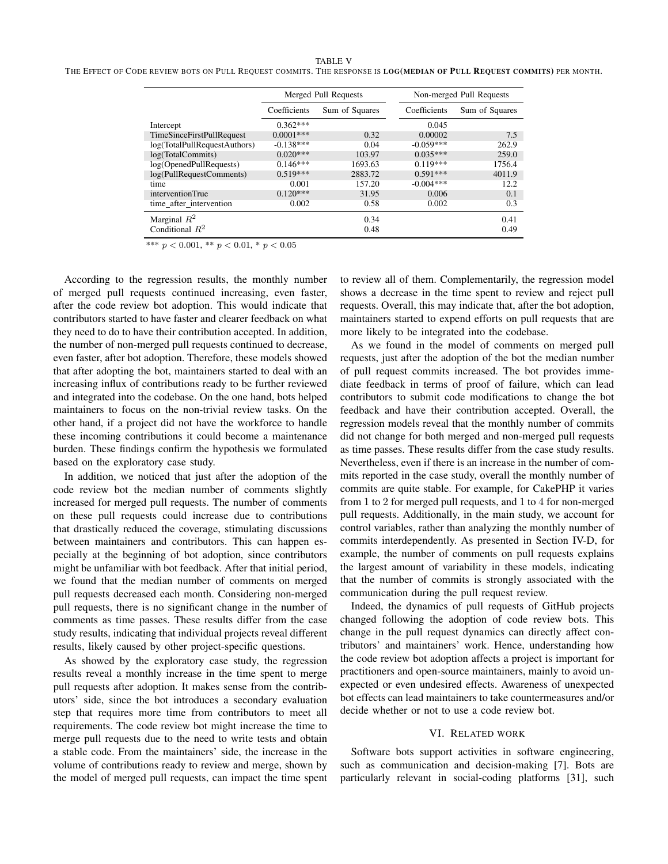#### TABLE V

THE EFFECT OF CODE REVIEW BOTS ON PULL REQUEST COMMITS. THE RESPONSE IS LOG(MEDIAN OF PULL REQUEST COMMITS) PER MONTH.

|                              | Merged Pull Requests |                |              | Non-merged Pull Requests |  |
|------------------------------|----------------------|----------------|--------------|--------------------------|--|
|                              | Coefficients         | Sum of Squares | Coefficients | Sum of Squares           |  |
| Intercept                    | $0.362***$           |                | 0.045        |                          |  |
| TimeSinceFirstPullRequest    | $0.0001***$          | 0.32           | 0.00002      | 7.5                      |  |
| log(TotalPullRequestAuthors) | $-0.138***$          | 0.04           | $-0.059***$  | 262.9                    |  |
| log(TotalCommits)            | $0.020***$           | 103.97         | $0.035***$   | 259.0                    |  |
| log(OpenedPullRequests)      | $0.146***$           | 1693.63        | $0.119***$   | 1756.4                   |  |
| log(PullRequestComments)     | $0.519***$           | 2883.72        | $0.591***$   | 4011.9                   |  |
| time                         | 0.001                | 157.20         | $-0.004***$  | 12.2                     |  |
| interventionTrue             | $0.120***$           | 31.95          | 0.006        | 0.1                      |  |
| time after intervention      | 0.002                | 0.58           | 0.002        | 0.3                      |  |
| Marginal $R^2$               |                      | 0.34           |              | 0.41                     |  |
| Conditional $R^2$            |                      | 0.48           |              | 0.49                     |  |
|                              |                      |                |              |                          |  |

\*\*\*  $p < 0.001$ , \*\*  $p < 0.01$ , \*  $p < 0.05$ 

According to the regression results, the monthly number of merged pull requests continued increasing, even faster, after the code review bot adoption. This would indicate that contributors started to have faster and clearer feedback on what they need to do to have their contribution accepted. In addition, the number of non-merged pull requests continued to decrease, even faster, after bot adoption. Therefore, these models showed that after adopting the bot, maintainers started to deal with an increasing influx of contributions ready to be further reviewed and integrated into the codebase. On the one hand, bots helped maintainers to focus on the non-trivial review tasks. On the other hand, if a project did not have the workforce to handle these incoming contributions it could become a maintenance burden. These findings confirm the hypothesis we formulated based on the exploratory case study.

In addition, we noticed that just after the adoption of the code review bot the median number of comments slightly increased for merged pull requests. The number of comments on these pull requests could increase due to contributions that drastically reduced the coverage, stimulating discussions between maintainers and contributors. This can happen especially at the beginning of bot adoption, since contributors might be unfamiliar with bot feedback. After that initial period, we found that the median number of comments on merged pull requests decreased each month. Considering non-merged pull requests, there is no significant change in the number of comments as time passes. These results differ from the case study results, indicating that individual projects reveal different results, likely caused by other project-specific questions.

As showed by the exploratory case study, the regression results reveal a monthly increase in the time spent to merge pull requests after adoption. It makes sense from the contributors' side, since the bot introduces a secondary evaluation step that requires more time from contributors to meet all requirements. The code review bot might increase the time to merge pull requests due to the need to write tests and obtain a stable code. From the maintainers' side, the increase in the volume of contributions ready to review and merge, shown by the model of merged pull requests, can impact the time spent to review all of them. Complementarily, the regression model shows a decrease in the time spent to review and reject pull requests. Overall, this may indicate that, after the bot adoption, maintainers started to expend efforts on pull requests that are more likely to be integrated into the codebase.

As we found in the model of comments on merged pull requests, just after the adoption of the bot the median number of pull request commits increased. The bot provides immediate feedback in terms of proof of failure, which can lead contributors to submit code modifications to change the bot feedback and have their contribution accepted. Overall, the regression models reveal that the monthly number of commits did not change for both merged and non-merged pull requests as time passes. These results differ from the case study results. Nevertheless, even if there is an increase in the number of commits reported in the case study, overall the monthly number of commits are quite stable. For example, for CakePHP it varies from 1 to 2 for merged pull requests, and 1 to 4 for non-merged pull requests. Additionally, in the main study, we account for control variables, rather than analyzing the monthly number of commits interdependently. As presented in Section IV-D, for example, the number of comments on pull requests explains the largest amount of variability in these models, indicating that the number of commits is strongly associated with the communication during the pull request review.

Indeed, the dynamics of pull requests of GitHub projects changed following the adoption of code review bots. This change in the pull request dynamics can directly affect contributors' and maintainers' work. Hence, understanding how the code review bot adoption affects a project is important for practitioners and open-source maintainers, mainly to avoid unexpected or even undesired effects. Awareness of unexpected bot effects can lead maintainers to take countermeasures and/or decide whether or not to use a code review bot.

#### VI. RELATED WORK

Software bots support activities in software engineering, such as communication and decision-making [7]. Bots are particularly relevant in social-coding platforms [31], such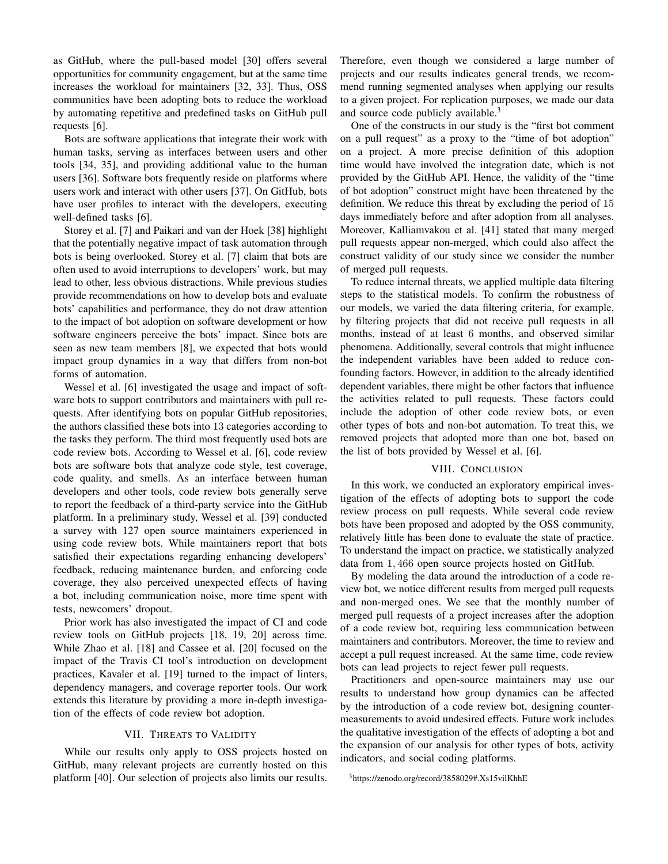as GitHub, where the pull-based model [30] offers several opportunities for community engagement, but at the same time increases the workload for maintainers [32, 33]. Thus, OSS communities have been adopting bots to reduce the workload by automating repetitive and predefined tasks on GitHub pull requests [6].

Bots are software applications that integrate their work with human tasks, serving as interfaces between users and other tools [34, 35], and providing additional value to the human users [36]. Software bots frequently reside on platforms where users work and interact with other users [37]. On GitHub, bots have user profiles to interact with the developers, executing well-defined tasks [6].

Storey et al. [7] and Paikari and van der Hoek [38] highlight that the potentially negative impact of task automation through bots is being overlooked. Storey et al. [7] claim that bots are often used to avoid interruptions to developers' work, but may lead to other, less obvious distractions. While previous studies provide recommendations on how to develop bots and evaluate bots' capabilities and performance, they do not draw attention to the impact of bot adoption on software development or how software engineers perceive the bots' impact. Since bots are seen as new team members [8], we expected that bots would impact group dynamics in a way that differs from non-bot forms of automation.

Wessel et al. [6] investigated the usage and impact of software bots to support contributors and maintainers with pull requests. After identifying bots on popular GitHub repositories, the authors classified these bots into 13 categories according to the tasks they perform. The third most frequently used bots are code review bots. According to Wessel et al. [6], code review bots are software bots that analyze code style, test coverage, code quality, and smells. As an interface between human developers and other tools, code review bots generally serve to report the feedback of a third-party service into the GitHub platform. In a preliminary study, Wessel et al. [39] conducted a survey with 127 open source maintainers experienced in using code review bots. While maintainers report that bots satisfied their expectations regarding enhancing developers' feedback, reducing maintenance burden, and enforcing code coverage, they also perceived unexpected effects of having a bot, including communication noise, more time spent with tests, newcomers' dropout.

Prior work has also investigated the impact of CI and code review tools on GitHub projects [18, 19, 20] across time. While Zhao et al. [18] and Cassee et al. [20] focused on the impact of the Travis CI tool's introduction on development practices, Kavaler et al. [19] turned to the impact of linters, dependency managers, and coverage reporter tools. Our work extends this literature by providing a more in-depth investigation of the effects of code review bot adoption.

# VII. THREATS TO VALIDITY

While our results only apply to OSS projects hosted on GitHub, many relevant projects are currently hosted on this platform [40]. Our selection of projects also limits our results. Therefore, even though we considered a large number of projects and our results indicates general trends, we recommend running segmented analyses when applying our results to a given project. For replication purposes, we made our data and source code publicly available.<sup>3</sup>

One of the constructs in our study is the "first bot comment on a pull request" as a proxy to the "time of bot adoption" on a project. A more precise definition of this adoption time would have involved the integration date, which is not provided by the GitHub API. Hence, the validity of the "time of bot adoption" construct might have been threatened by the definition. We reduce this threat by excluding the period of 15 days immediately before and after adoption from all analyses. Moreover, Kalliamvakou et al. [41] stated that many merged pull requests appear non-merged, which could also affect the construct validity of our study since we consider the number of merged pull requests.

To reduce internal threats, we applied multiple data filtering steps to the statistical models. To confirm the robustness of our models, we varied the data filtering criteria, for example, by filtering projects that did not receive pull requests in all months, instead of at least 6 months, and observed similar phenomena. Additionally, several controls that might influence the independent variables have been added to reduce confounding factors. However, in addition to the already identified dependent variables, there might be other factors that influence the activities related to pull requests. These factors could include the adoption of other code review bots, or even other types of bots and non-bot automation. To treat this, we removed projects that adopted more than one bot, based on the list of bots provided by Wessel et al. [6].

# VIII. CONCLUSION

In this work, we conducted an exploratory empirical investigation of the effects of adopting bots to support the code review process on pull requests. While several code review bots have been proposed and adopted by the OSS community, relatively little has been done to evaluate the state of practice. To understand the impact on practice, we statistically analyzed data from 1, 466 open source projects hosted on GitHub.

By modeling the data around the introduction of a code review bot, we notice different results from merged pull requests and non-merged ones. We see that the monthly number of merged pull requests of a project increases after the adoption of a code review bot, requiring less communication between maintainers and contributors. Moreover, the time to review and accept a pull request increased. At the same time, code review bots can lead projects to reject fewer pull requests.

Practitioners and open-source maintainers may use our results to understand how group dynamics can be affected by the introduction of a code review bot, designing countermeasurements to avoid undesired effects. Future work includes the qualitative investigation of the effects of adopting a bot and the expansion of our analysis for other types of bots, activity indicators, and social coding platforms.

<sup>3</sup>https://zenodo.org/record/3858029#.Xs15vilKhhE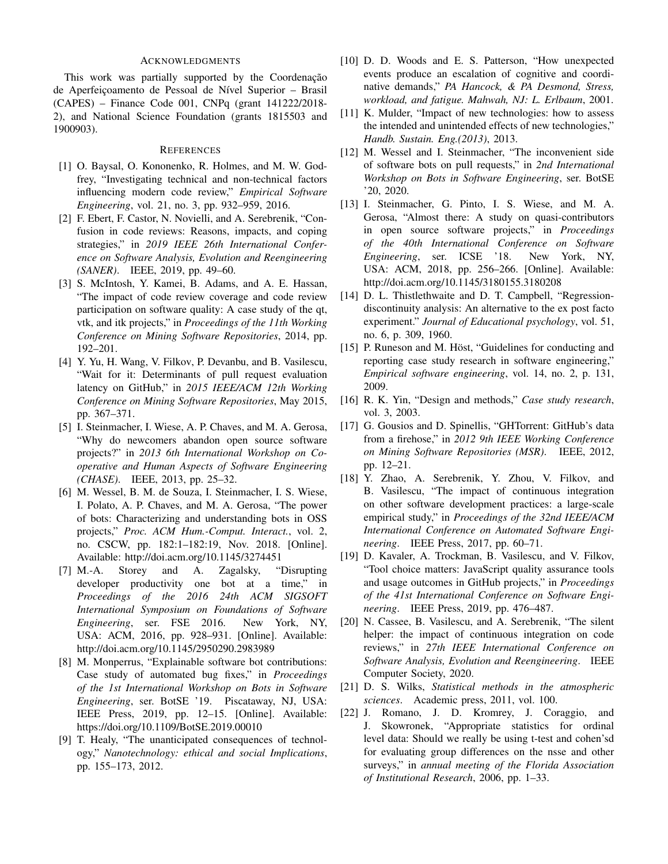## ACKNOWLEDGMENTS

This work was partially supported by the Coordenação de Aperfeiçoamento de Pessoal de Nível Superior - Brasil (CAPES) – Finance Code 001, CNPq (grant 141222/2018- 2), and National Science Foundation (grants 1815503 and 1900903).

## **REFERENCES**

- [1] O. Baysal, O. Kononenko, R. Holmes, and M. W. Godfrey, "Investigating technical and non-technical factors influencing modern code review," *Empirical Software Engineering*, vol. 21, no. 3, pp. 932–959, 2016.
- [2] F. Ebert, F. Castor, N. Novielli, and A. Serebrenik, "Confusion in code reviews: Reasons, impacts, and coping strategies," in *2019 IEEE 26th International Conference on Software Analysis, Evolution and Reengineering (SANER)*. IEEE, 2019, pp. 49–60.
- [3] S. McIntosh, Y. Kamei, B. Adams, and A. E. Hassan, "The impact of code review coverage and code review participation on software quality: A case study of the qt, vtk, and itk projects," in *Proceedings of the 11th Working Conference on Mining Software Repositories*, 2014, pp. 192–201.
- [4] Y. Yu, H. Wang, V. Filkov, P. Devanbu, and B. Vasilescu, "Wait for it: Determinants of pull request evaluation latency on GitHub," in *2015 IEEE/ACM 12th Working Conference on Mining Software Repositories*, May 2015, pp. 367–371.
- [5] I. Steinmacher, I. Wiese, A. P. Chaves, and M. A. Gerosa, "Why do newcomers abandon open source software projects?" in *2013 6th International Workshop on Cooperative and Human Aspects of Software Engineering (CHASE)*. IEEE, 2013, pp. 25–32.
- [6] M. Wessel, B. M. de Souza, I. Steinmacher, I. S. Wiese, I. Polato, A. P. Chaves, and M. A. Gerosa, "The power of bots: Characterizing and understanding bots in OSS projects," *Proc. ACM Hum.-Comput. Interact.*, vol. 2, no. CSCW, pp. 182:1–182:19, Nov. 2018. [Online]. Available: http://doi.acm.org/10.1145/3274451
- [7] M.-A. Storey and A. Zagalsky, "Disrupting developer productivity one bot at a time," in *Proceedings of the 2016 24th ACM SIGSOFT International Symposium on Foundations of Software Engineering*, ser. FSE 2016. New York, NY, USA: ACM, 2016, pp. 928–931. [Online]. Available: http://doi.acm.org/10.1145/2950290.2983989
- [8] M. Monperrus, "Explainable software bot contributions: Case study of automated bug fixes," in *Proceedings of the 1st International Workshop on Bots in Software Engineering*, ser. BotSE '19. Piscataway, NJ, USA: IEEE Press, 2019, pp. 12–15. [Online]. Available: https://doi.org/10.1109/BotSE.2019.00010
- [9] T. Healy, "The unanticipated consequences of technology," *Nanotechnology: ethical and social Implications*, pp. 155–173, 2012.
- [10] D. D. Woods and E. S. Patterson, "How unexpected events produce an escalation of cognitive and coordinative demands," *PA Hancock, & PA Desmond, Stress, workload, and fatigue. Mahwah, NJ: L. Erlbaum*, 2001.
- [11] K. Mulder, "Impact of new technologies: how to assess the intended and unintended effects of new technologies," *Handb. Sustain. Eng.(2013)*, 2013.
- [12] M. Wessel and I. Steinmacher, "The inconvenient side of software bots on pull requests," in *2nd International Workshop on Bots in Software Engineering*, ser. BotSE '20, 2020.
- [13] I. Steinmacher, G. Pinto, I. S. Wiese, and M. A. Gerosa, "Almost there: A study on quasi-contributors in open source software projects," in *Proceedings of the 40th International Conference on Software Engineering*, ser. ICSE '18. New York, NY, USA: ACM, 2018, pp. 256–266. [Online]. Available: http://doi.acm.org/10.1145/3180155.3180208
- [14] D. L. Thistlethwaite and D. T. Campbell, "Regressiondiscontinuity analysis: An alternative to the ex post facto experiment." *Journal of Educational psychology*, vol. 51, no. 6, p. 309, 1960.
- [15] P. Runeson and M. Höst, "Guidelines for conducting and reporting case study research in software engineering," *Empirical software engineering*, vol. 14, no. 2, p. 131, 2009.
- [16] R. K. Yin, "Design and methods," *Case study research*, vol. 3, 2003.
- [17] G. Gousios and D. Spinellis, "GHTorrent: GitHub's data from a firehose," in *2012 9th IEEE Working Conference on Mining Software Repositories (MSR)*. IEEE, 2012, pp. 12–21.
- [18] Y. Zhao, A. Serebrenik, Y. Zhou, V. Filkov, and B. Vasilescu, "The impact of continuous integration on other software development practices: a large-scale empirical study," in *Proceedings of the 32nd IEEE/ACM International Conference on Automated Software Engineering*. IEEE Press, 2017, pp. 60–71.
- [19] D. Kavaler, A. Trockman, B. Vasilescu, and V. Filkov, "Tool choice matters: JavaScript quality assurance tools and usage outcomes in GitHub projects," in *Proceedings of the 41st International Conference on Software Engineering*. IEEE Press, 2019, pp. 476–487.
- [20] N. Cassee, B. Vasilescu, and A. Serebrenik, "The silent helper: the impact of continuous integration on code reviews," in *27th IEEE International Conference on Software Analysis, Evolution and Reengineering*. IEEE Computer Society, 2020.
- [21] D. S. Wilks, *Statistical methods in the atmospheric sciences*. Academic press, 2011, vol. 100.
- [22] J. Romano, J. D. Kromrey, J. Coraggio, and J. Skowronek, "Appropriate statistics for ordinal level data: Should we really be using t-test and cohen'sd for evaluating group differences on the nsse and other surveys," in *annual meeting of the Florida Association of Institutional Research*, 2006, pp. 1–33.